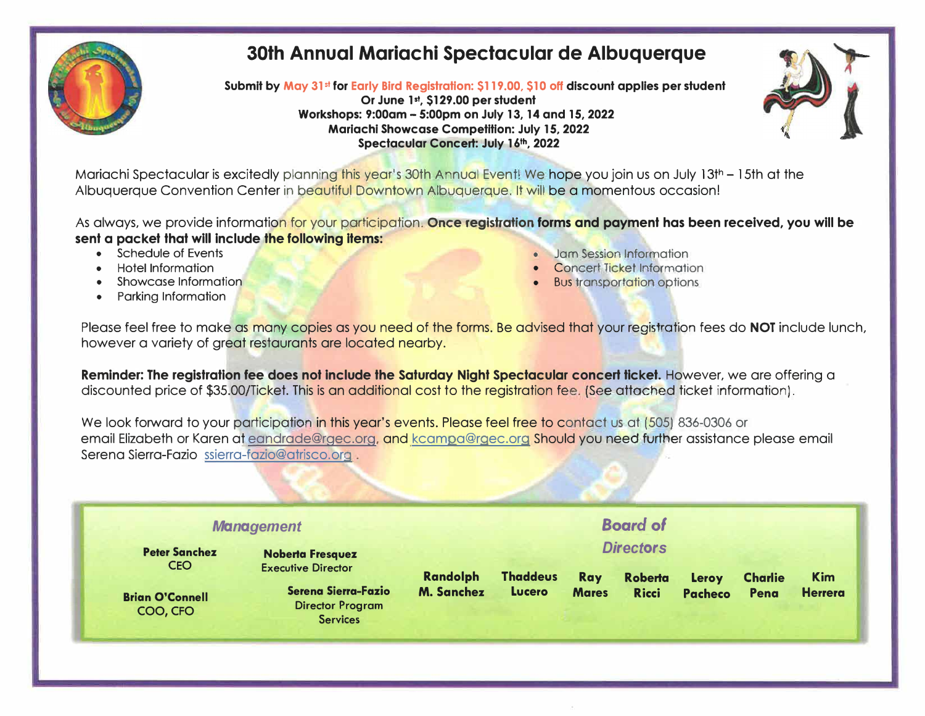

# **30th Annual Mariachi Spectacular de Albuquerque**

**Submit by May 31st for Early Bird Registration: \$119.00, \$10 off discount applies per student** 

**Or June 1st, \$129.00 per student Workshops: 9:00am - 5:00pm on July 13, 14 and 15, 2022 Mariachi Showcase Competition: July 15, 2022 Spectacular Concert: July 16th, 2022** 



Mariachi Spectacular is excitedly planning this year's 30th Annual Event! We hope you join us on July 13th - 15th at the Albuquerque Convention Center in beautiful Downtown Albuquerque. It will be a momentous occasion!

As always, we provide information for your participation. **Once registration forms and payment has been received, you will be sent a packet that will include the following items:** 

- 
- 
- 
- Parking Information
- Schedule of Events Schedule of Events Jam Session Information<br>• Hotel Information Concert Ticket Information
	- **Concert Ticket Information**
- Showcase Information Bus transportation options

Please feel free to make as many copies as you need of the forms. Be advised that your registration fees do **NOT** include lunch, however a variety of great restaurants are located nearby.

**Reminder: The registration fee does not include the Saturday Night Spectacular concert ticket.** However, we are offering a discounted price of \$35.00/Ticket. This is an additional cost to the registration fee. (See attached ticket information).

We look forward to your participation in this year's events. Please feel free to contact us at (505) 836-0306 or email Elizabeth or Karen at eandrade@rgec.org, and kcampa@rgec.org Should you need further assistance please email Serena Sierra-Fazio ssierra-fazio@atrisco.org .

| <b>Management</b>                  |                                                                   |                   |                 |              |                  |         |                |                |
|------------------------------------|-------------------------------------------------------------------|-------------------|-----------------|--------------|------------------|---------|----------------|----------------|
| <b>Peter Sanchez</b>               | <b>Noberta Fresquez</b>                                           |                   |                 |              | <b>Directors</b> |         |                |                |
| <b>CEO</b>                         | <b>Executive Director</b>                                         | <b>Randolph</b>   | <b>Thaddeus</b> | <b>Ray</b>   | <b>Roberta</b>   | Leroy   | <b>Charlie</b> | <b>Kim</b>     |
| <b>Brian O'Connell</b><br>COO, CFO | Serena Sierra-Fazio<br><b>Director Program</b><br><b>Services</b> | <b>M. Sanchez</b> | <b>Lucero</b>   | <b>Mares</b> | <b>Ricci</b>     | Pacheco | Pena           | <b>Herrera</b> |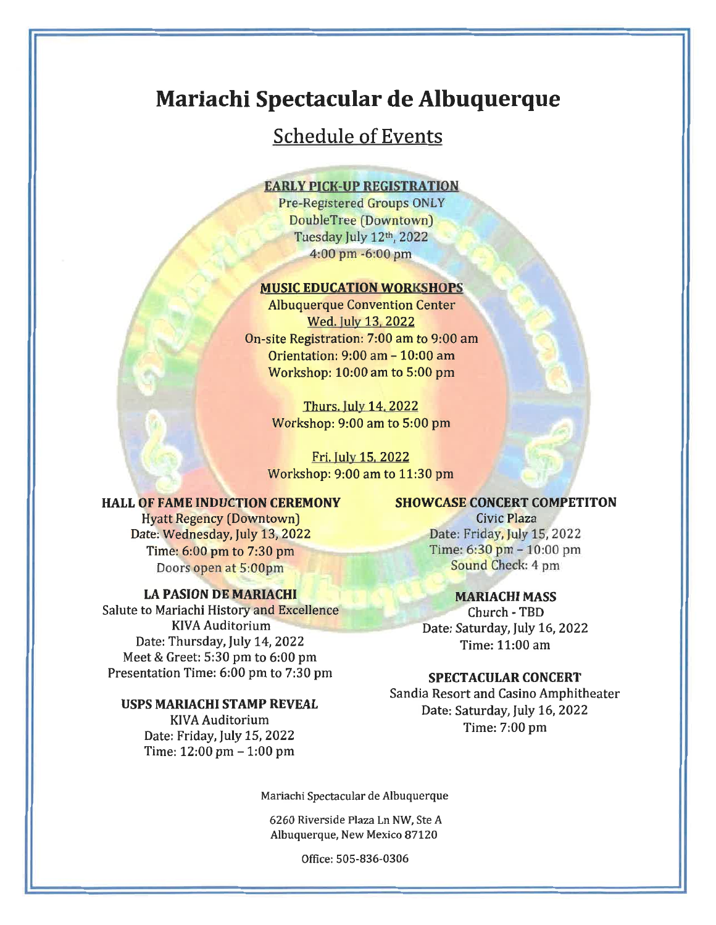# Mariachi Spectacular de Albuquerque

## **Schedule of Events**

#### **EARLY PICK-UP REGISTRATION**

Pre-Registered Groups ONLY DoubleTree (Downtown) Tuesday July 12th, 2022 4:00 pm -6:00 pm

### **MUSIC EDUCATION WORKSHOPS**

**Albuquerque Convention Center** Wed. July 13, 2022 On-site Registration: 7:00 am to 9:00 am Orientation: 9:00 am - 10:00 am Workshop: 10:00 am to 5:00 pm

> **Thurs. July 14, 2022** Workshop: 9:00 am to 5:00 pm

Fri. July 15, 2022 Workshop: 9:00 am to 11:30 pm

#### **HALL OF FAME INDUCTION CEREMONY**

**Hyatt Regency (Downtown)** Date: Wednesday, July 13, 2022 Time: 6:00 pm to 7:30 pm Doors open at 5:00pm

### **LA PASION DE MARIACHI**

Salute to Mariachi History and Excellence **KIVA Auditorium** Date: Thursday, July 14, 2022 Meet & Greet: 5:30 pm to 6:00 pm Presentation Time: 6:00 pm to 7:30 pm

#### USPS MARIACHI STAMP REVEAL

KIVA Auditorium Date: Friday, July 15, 2022 Time: 12:00 pm - 1:00 pm

## **SHOWCASE CONCERT COMPETITON**

Civic Plaza Date: Friday, July 15, 2022 Time: 6:30 pm - 10:00 pm Sound Check: 4 pm

## **MARIACHI MASS**

Church - TBD Date: Saturday, July 16, 2022 Time: 11:00 am

#### **SPECTACULAR CONCERT**

Sandia Resort and Casino Amphitheater Date: Saturday, July 16, 2022 Time: 7:00 pm

Mariachi Spectacular de Albuquerque

6260 Riverside Plaza Ln NW, Ste A Albuquerque, New Mexico 87120

Office: 505-836-0306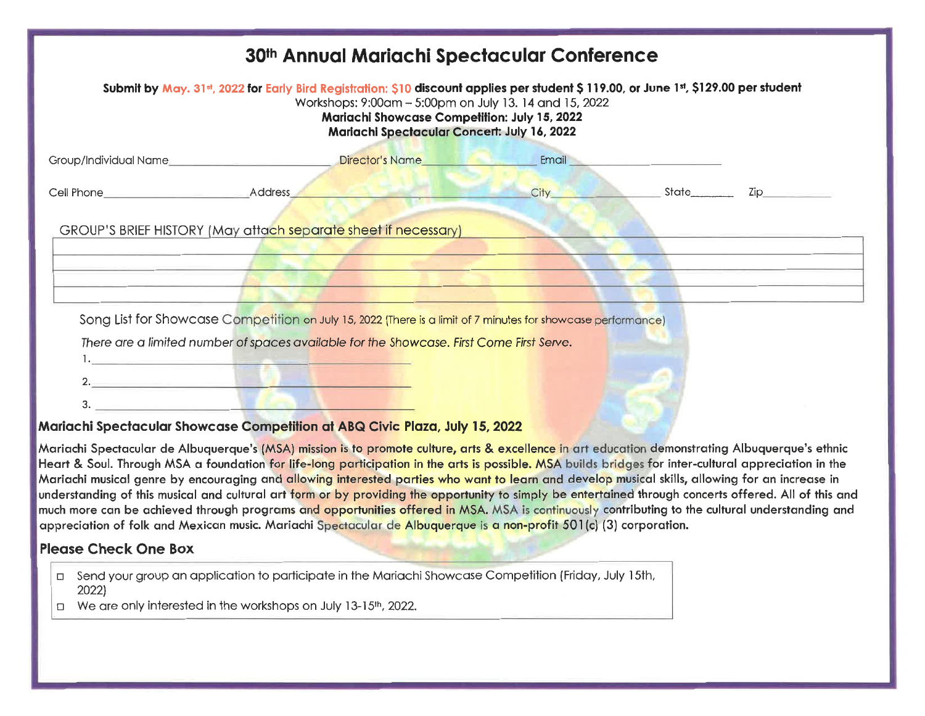|                              | 30th Annual Mariachi Spectacular Conference                                                                                                                                                                                                                                                   |       |  |
|------------------------------|-----------------------------------------------------------------------------------------------------------------------------------------------------------------------------------------------------------------------------------------------------------------------------------------------|-------|--|
|                              | Submit by May. 31st, 2022 for Early Bird Registration: \$10 discount applies per student \$119.00, or June 1st, \$129.00 per student<br>Workshops: 9:00am - 5:00pm on July 13. 14 and 15, 2022<br>Mariachi Showcase Competition: July 15, 2022<br>Mariachi Spectacular Concert: July 16, 2022 |       |  |
| Group/Individual Name_       | Director's Name<br>the contract of the contract of the contract of                                                                                                                                                                                                                            | Email |  |
| Cell Phone <b>Cell Phone</b> | Address                                                                                                                                                                                                                                                                                       | City  |  |
|                              | GROUP'S BRIEF HISTORY (May attach separate sheet if necessary)                                                                                                                                                                                                                                |       |  |
|                              | Song List for Showcase Competition on July 15, 2022 (There is a limit of 7 minutes for showcase performance)                                                                                                                                                                                  |       |  |
|                              | There are a limited number of spaces available for the Showcase. First Come First Serve.<br><u> Andrew Marian Maria Maria Maria Maria Maria Maria Maria Maria Maria Maria Maria Maria Maria Maria Maria Maria</u>                                                                             |       |  |
|                              |                                                                                                                                                                                                                                                                                               |       |  |
|                              | $\mathbf{L}_{\text{max}}$ $\mathbf{L}_{\text{max}}$ $\mathbf{L}_{\text{max}}$ $\mathbf{L}_{\text{max}}$ $\mathbf{L}_{\text{max}}$ $\mathbf{L}_{\text{max}}$ $\mathbf{L}_{\text{max}}$ $\mathbf{L}_{\text{max}}$ $\mathbf{L}_{\text{max}}$                                                     |       |  |

## <u> Mariachi Spectacular Showcase Competition at ABQ Civic Plaza, July 15, 2022</u>

Mariachi Spectacular de Albuquerque's (MSA) mission is to promote culture, arts & excellence in art education demonstrating Albuquerque's ethnic Heart & Soul. Through MSA a foundation for life-long participation in the arts is possible. MSA builds bridges for inter-cultural appreciation in the Mariachi musical genre by encouraging and allowing interested parties who want to learn and develop musical skills, allowing for an increase in understanding of this musical and cultural art form or by providing the opportunity to simply be entertained through concerts offered. All of this and much more can be achieved through programs and opportunities offered in MSA. MSA is continuously contributing to the cultural understanding and appreciation of folk and Mexican music. Mariachi Spectacular de Albuquerque is a non-profit \$01(c) (3) corporation.

## **Please Check One Box**

- □ Send your group an application to participate in the Mariachi Showcase Competition (Friday, July 15th, 2022)
- $\Box$  We are only interested in the workshops on July 13-15<sup>th</sup>, 2022.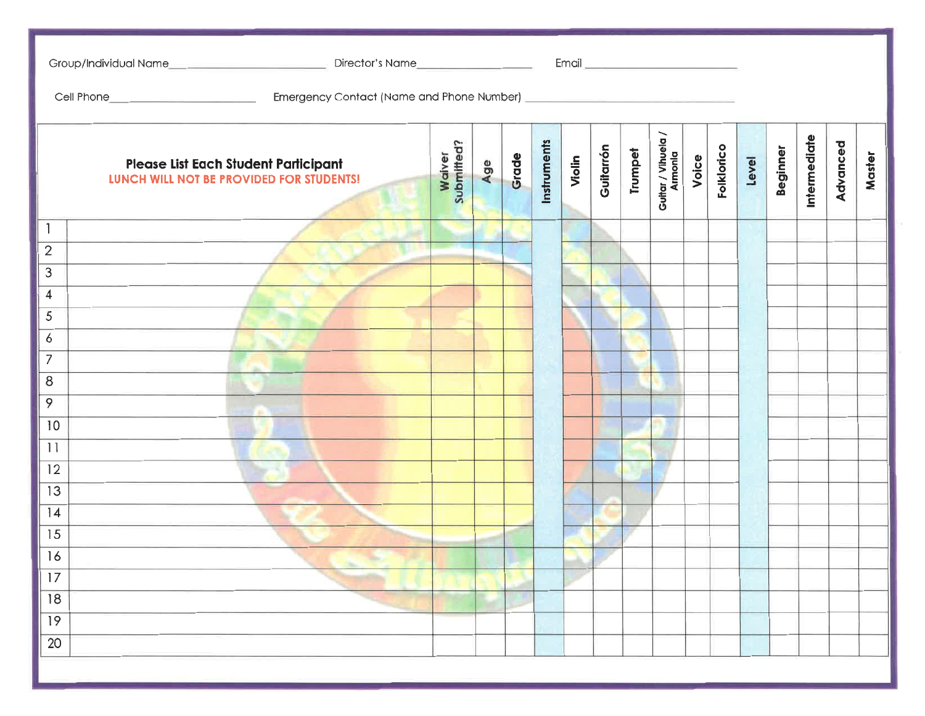|                 | Please List Each Student Participant<br>LUNCH WILL NOT BE PROVIDED FOR STUDENTS! | Waiver<br>Submitted? | Age | Grade | Instruments | Violin | Guitarrón | Trumpet | Guitar / Vihuela /<br>Armonia | Voice | <b>Folklorico</b> | Level | Beginner | Intermediate | Advanced | Master |
|-----------------|----------------------------------------------------------------------------------|----------------------|-----|-------|-------------|--------|-----------|---------|-------------------------------|-------|-------------------|-------|----------|--------------|----------|--------|
| 1               |                                                                                  |                      |     |       |             |        |           |         |                               |       |                   |       |          |              |          |        |
| $\mathbf{2}$    |                                                                                  |                      |     |       |             |        |           |         |                               |       |                   |       |          |              |          |        |
| 3               |                                                                                  |                      |     |       |             |        |           |         |                               |       |                   |       |          |              |          |        |
| $\overline{4}$  |                                                                                  |                      |     |       |             |        |           |         |                               |       |                   |       |          |              |          |        |
| 5               |                                                                                  |                      |     |       |             |        |           |         |                               |       |                   |       |          |              |          |        |
| 6               |                                                                                  |                      |     |       |             |        |           |         |                               |       |                   |       |          |              |          |        |
| $\overline{7}$  |                                                                                  |                      |     |       |             |        |           |         |                               |       |                   |       |          |              |          |        |
| 8               |                                                                                  |                      |     |       |             |        |           |         |                               |       |                   |       |          |              |          |        |
| 9               |                                                                                  |                      |     |       |             |        |           |         |                               |       |                   |       |          |              |          |        |
| 10              |                                                                                  |                      |     |       |             |        |           |         |                               |       |                   |       |          |              |          |        |
| 11              |                                                                                  |                      |     |       |             |        |           |         |                               |       |                   |       |          |              |          |        |
| 12              |                                                                                  |                      |     |       |             |        |           |         |                               |       |                   |       |          |              |          |        |
| $\overline{13}$ |                                                                                  |                      |     |       |             |        |           |         |                               |       |                   |       |          |              |          |        |
| 4               |                                                                                  |                      |     |       |             |        |           |         |                               |       |                   |       |          |              |          |        |
| $\overline{15}$ |                                                                                  |                      |     |       |             |        |           |         |                               |       |                   |       |          |              |          |        |
| H<br>16         |                                                                                  |                      |     |       |             |        |           |         |                               |       |                   |       |          |              |          |        |
| 17              |                                                                                  |                      |     |       |             |        |           |         |                               |       |                   |       |          |              |          |        |
| 18              |                                                                                  |                      |     |       |             |        |           |         |                               |       |                   |       |          |              |          |        |
| 19              |                                                                                  |                      |     |       |             |        |           |         |                               |       |                   |       |          |              |          |        |
| $\overline{20}$ |                                                                                  |                      |     |       |             |        |           |         |                               |       |                   |       |          |              |          |        |
|                 |                                                                                  |                      |     |       |             |        |           |         |                               |       |                   |       |          |              |          |        |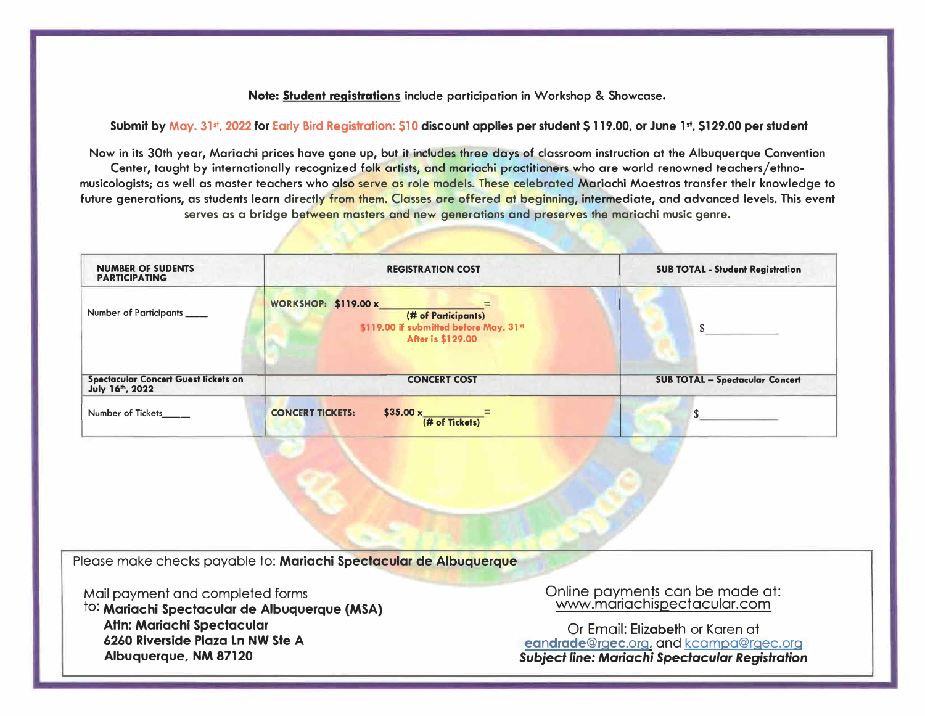#### **Note: Student registrations include participation in Workshop & Showcase.**

**Submit by May. 3l <sup>5</sup> t, 2022 for Early Bird Registration: \$10 discount applies per student** S **119.00, or June 1st, \$129.00 per student** 

**Now in its 30th year, Mariachi prices hove gone up, but it includes three days of classroom instruction at the Albuquerque Convention**  Center, taught by internationally recognized folk artists, and mariachi practitioners who are world renowned teachers/ethno**musicologists; as well as master teachers who also serve as role models. These celebrated Mariachi Maestros transfer their knowledge to future generations, as students learn directly from them. Classes ore offered at beginning, intermediate, and advanced levels. This event serves as a bridge between masters and new generations and preserves the mariachi music genre.** 

| <b>NUMBER OF SUDENTS</b><br><b>PARTICIPATING</b>                     | <b>REGISTRATION COST</b>                                                                                          | <b>SUB TOTAL - Student Registration</b> |
|----------------------------------------------------------------------|-------------------------------------------------------------------------------------------------------------------|-----------------------------------------|
| Number of Participants                                               | <b>WORKSHOP: \$119.00 x</b><br>(# of Participants)<br>\$119.00 if submitted before May. 31st<br>After is \$129.00 | $\mathbf{s}$                            |
| Spectacular Concert Guest tickets on<br>July 16 <sup>th</sup> , 2022 | <b>CONCERT COST</b>                                                                                               | <b>SUB TOTAL - Spectacular Concert</b>  |
| Number of Tickets                                                    | $$35.00 \times \frac{1}{(\text{# of Tickets})}$<br><b>CONCERT TICKETS:</b>                                        | $\mathbf{s}$                            |
|                                                                      |                                                                                                                   |                                         |
|                                                                      |                                                                                                                   |                                         |
|                                                                      | Please make checks payable to: Mariachi Spectacular de Albuquerque                                                |                                         |